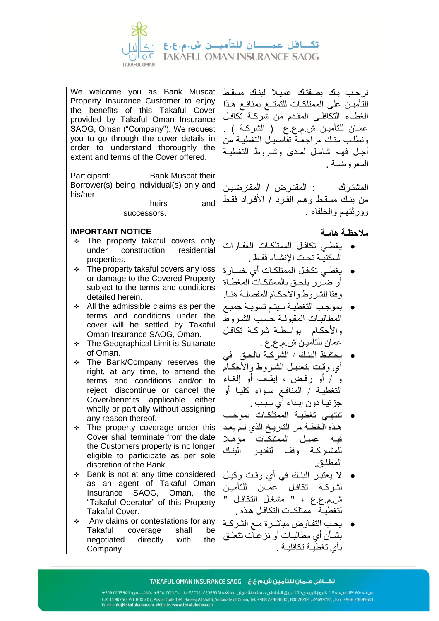تكافل عمــان للتأميــن ش.م.ع.ع **TAKAFUL OMAN INSURANCE SAOG TAKAFUL OMAN** 

We welcome you as Bank Muscat Property Insurance Customer to enjoy the benefits of this Takaful Cover provided by Takaful Oman Insurance SAOG, Oman ("Company"). We request you to go through the cover details in order to understand thoroughly the extent and terms of the Cover offered.

Participant: Bank Muscat their Borrower(s) being individual(s) only and his/her

> heirs and successors.

## **IMPORTANT NOTICE**

- ❖ The property takaful covers only under construction residential properties.
- ❖ The property takaful covers any loss or damage to the Covered Property subject to the terms and conditions detailed herein.
- ❖ All the admissible claims as per the terms and conditions under the cover will be settled by Takaful Oman Insurance SAOG, Oman.
- ❖ The Geographical Limit is Sultanate of Oman.
- ❖ The Bank/Company reserves the right, at any time, to amend the terms and conditions and/or to reject, discontinue or cancel the Cover/benefits applicable either wholly or partially without assigning any reason thereof.
- ❖ The property coverage under this Cover shall terminate from the date the Customers property is no longer eligible to participate as per sole discretion of the Bank.
- ❖ Bank is not at any time considered as an agent of Takaful Oman Insurance SAOG, Oman, the "Takaful Operator" of this Property Takaful Cover.
- ❖ Any claims or contestations for any Takaful coverage shall be negotiated directly with the Company.

نرحـب بـك بصفتـك عميـال لبنـك مسقـط للتأميـن على الممتلكـات للتمتــع بمنافـع هـذا الغطـاء التكافلـي المقـدم من شركـة تكافـل عمـان للتأميـن ش.م.ع.ع ( الشركـة ) . ونطلـب منـك مراجعـة تفاصيـل التغطيـة من أجـل فهـم شامـل لمـدى وشـروط التغطيـة المعروضـة .

المشتـرك : المقتـرض / المقترضيـن من بنـك مسقـط وهـم الفـرد / األفـراد فقـط وورثتهـم والخلفاء .

**مالحظـة هامـة** 

- يغطـي تكافـل الممتلكـات العقـارات السكنيـة تحـت اإلنشـاء فقـط .
- يغطـي تكافـل الممتلكـات أي خسـارة أو ضـرر يلحـق بالممتلكـات المغطـاة وفقا لِلشر وط والأحكـام المفصلـة هنـا.
- بموجـب التغطيـة سيتـم تسويـة جميـع المطالبـات المقبولـة حسـب الشـروط واألحكـام بواسطـة شركـة تكافـل عمان للتأميـن ش.م.ع.ع .
- يحتفـظ البنـك / الشركـة بالحـق في أي وقت بتعديـل الشـر وط والأحكـام و / أو رفـض ، إيقـاف أو إلغـاء التغطيـة / المنافـع سـواء كليـا أو جزئيـا دون إبـداء أي سبـب .
- تنتهـي تغطيـة الممتلكـات بموجـب هـذه الخطـة من التاريـخ الذي لـم يعـد فيـه عميـل الممتلكـات مؤهـال للمشاركـة وفقـا لتقديـر البنـك المطلـق.
- ال يعتبـر البنـك في أي وقـت وكيـل لشركـة تكافـل عمـان للتأميـن ش.م.ع.ع ، " مشغـل التكافـل " لتغطيـة ممتلكـات التكافـل هـذه .
- يجـب التفـاوض مباشـرة مـع الشركـة بشـأن أي مطالبـات أو نزعـات تتعلـق بأي تغطيـة تكافليـة .

###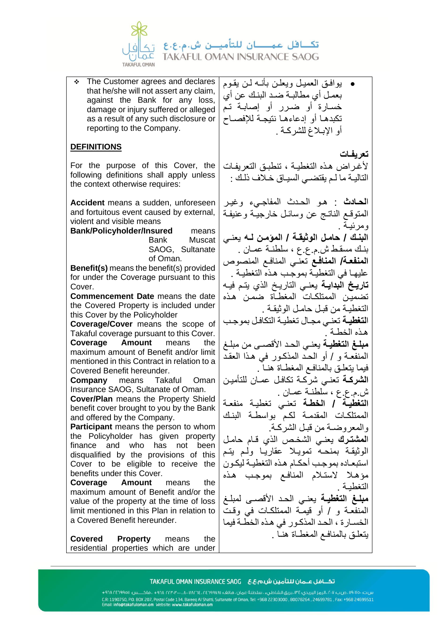

❖ The Customer agrees and declares that he/she will not assert any claim, against the Bank for any loss, damage or injury suffered or alleged as a result of any such disclosure or reporting to the Company.

# **DEFINITIONS**

For the purpose of this Cover, the following definitions shall apply unless the context otherwise requires:

**Accident** means a sudden, unforeseen and fortuitous event caused by external, violent and visible means

**Bank/Policyholder/Insured** means

Bank Muscat SAOG, Sultanate of Oman.

**Benefit(s)** means the benefit(s) provided for under the Coverage pursuant to this Cover.

**Commencement Date** means the date the Covered Property is included under this Cover by the Policyholder

**Coverage/Cover** means the scope of Takaful coverage pursuant to this Cover. **Coverage Amount** means the maximum amount of Benefit and/or limit mentioned in this Contract in relation to a Covered Benefit hereunder.

**Company** means Takaful Oman Insurance SAOG, Sultanate of Oman.

**Cover/Plan** means the Property Shield benefit cover brought to you by the Bank and offered by the Company.

**Participant** means the person to whom the Policyholder has given property finance and who has not been disqualified by the provisions of this Cover to be eligible to receive the benefits under this Cover.

**Coverage Amount** means the maximum amount of Benefit and/or the value of the property at the time of loss limit mentioned in this Plan in relation to a Covered Benefit hereunder.

**Covered Property** means the residential properties which are under

- يوافـق العميـل ويعلـن بأنـه لـن يقـوم بعمـل أي مطالبـة ضـد البنـك عن أي خسـارة أو ضـرر أو إصابـة تـم تكبدهـا أو إدعاءهـا نتيجـة لإلفصـاح أو اإلبـالغ للشركـة .
	- **تعريفـات**

ألغـراض هـذه التغطيـة ، تنطبـق التعريفـات التاليـة ما لـم يقتضـي السيـاق خـالف ذلـك :

ا**لحـادث** : هـو الحـدث المفاجـيء وغيـر المتوقـع الناتـج عن وسائـل خارجيـة وعنيفـة ومرئيـة . **البنـك / حامـل الوثيقـة / المؤمـن لـه** يعنـي بنـك مسقـط ش.م.ع.ع ، سلطنـة عمـان . ا**لمنفعـة/ المنافـع** تعنّـى المنافـع المنصوص عليهـا في التغطيـة بموجـب هـذه التغطيـة . **تاريـخ البدايـة** يعنـي التاريـخ الذي يتـم فيـه تضميـن الممتلكـات المغطـاة ضمـن هـذه التغطيـة من قبـل حامـل الوثيقـة . ا**لتغطيـة** تعنـي مجـال تغطيـة التكافـل بموجـب هـذه الخطـة . **مبلـغ التغطيـة** يعنـي الحـد األقصـى من مبلـغ المنفعـة و / أو الحـد المذكـور في هـذا العقـد فيما يتعلـق بالمنافـع المغطـاة هنـا . **الشركـة** تعنـي شركـة تكافـل عمـان للتأميـن ش.م.ع.ع ، سلطنـة عمـان . **التغطيـة / الخطـة** تعنـي تغطيـة منفعـة الممتلكـات المقدمـة لكـم بواسطـة البنـك والمعروضـة من قبـل الشركـة. ا**لمشتـرك** يعنـي الشخـص الذي قـام حامـل الوثيقـة بمنحـه تمويـال عقاريـا ولـم يتـم استبعـاده بموجـب أحكـام هـذه التغطيـة ليكـون مؤهـال الستـالم المنافـع بموجـب هـذه التغطيـة . **مبلـغ التغطيـة** يعنـي الحـد األقصـى لمبلـغ المنفعـة و / أو قيمـة الممتلكـات في وقـت الخسـارة ، الحـد المذكـور في هـذه الخطـة فيما يتعلـق بالمنافـع المغطـاة هنـا .

###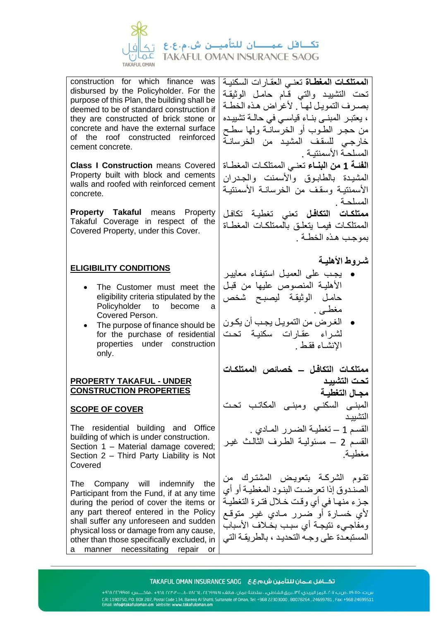

construction for which finance was disbursed by the Policyholder. For the purpose of this Plan, the building shall be deemed to be of standard construction if they are constructed of brick stone or concrete and have the external surface of the roof constructed reinforced cement concrete.

**Class I Construction** means Covered Property built with block and cements walls and roofed with reinforced cement concrete.

**Property Takaful means Property** Takaful Coverage in respect of the Covered Property, under this Cover.

# **ELIGIBILITY CONDITIONS**

- The Customer must meet the eligibility criteria stipulated by the Policyholder to become a Covered Person.
- The purpose of finance should be for the purchase of residential properties under construction only.

## **PROPERTY TAKAFUL - UNDER CONSTRUCTION PROPERTIES**

# **SCOPE OF COVER**

The residential building and Office building of which is under construction. Section 1 – Material damage covered; Section 2 – Third Party Liability is Not Covered

The Company will indemnify the Participant from the Fund, if at any time during the period of cover the items or any part thereof entered in the Policy shall suffer any unforeseen and sudden physical loss or damage from any cause, other than those specifically excluded, in a manner necessitating repair or **الممتلكـات المغطـاة** تعنـي العقـارات السكنيـة تحت التشييـد والتي قـام حامـل الوثيقـة بصـرف التمويـل لهـا . ألغراض هـذه الخطـة ، يعتبـر المبنـى بنـاء قياسـي في حالـة تشييـده من حجـر الطـوب أو الخرسانـة ولها سطـح خارجـي للسقـف المشيـد من الخرسانـة المسلحـة األسمنتيـة . **الفئـة 1 من البنـاء** تعنـي الممتلكـات المغطـاة المشيـدة بالطابـوق والأسمنت والجـدران األسمنتيـة وسقـف من الخرسانـة األسمنتيـة المسلحـة . **ممتلكـات التكافـل** تعني تغطيـة تكافـل الممتلكـات فيمـا يتعلـق بالممتلكـات المغطـاة بموجـب هـذه الخطـة . **شـروط األهليـة**  • يجـب على العميـل استيفـاء معاييـر األهليـة المنصوص عليها من قبـل حامـل الوثيقـة ليصبـح شخص مغطـى . • الغـرض من التمويـل يجـب أن يكـون لشراء عقـارات سكنيـة تحت اإلنشـاء فقـط . **ممتلكـات التكافـل – خصائص الممتلكـات تحـت التشييـد مجـال التغطيـة** المبنـى السكنـي ومبنـى المكاتـب تحـت التشييـد القسـم 1 – تغطيـة الضـرر المـادي . القسـم 2 – مسئوليـة الطـرف الثالـث غيـر مغطيـة. تقـوم الشركـة بتعويـض المشتـرك من الصنـدوق إذا تعرضـت البنـود المغطيـة أو أي جـزء منهـا في أي وقـت خـالل فتـرة التغطيـة ألي خسـارة أو ضـرر مـادي غيـر متوقـع ومفاجـيء نتيجـة أي سبـب بخـالف األسباب المستبعـدة على وجـه التحديـد ، بالطريقـة التي

### 

س.ت: ١٩٠٧٠٠، ص.ب: ٢٠٧، الرمز البريدي: ١٣٤، بريق الشاطيء ، سلطنة عمان ، هاتف: ١٩٧١ه-٢٤٢، ١٨٠٢ه- ١٨٠٠، ١٩٠٣م، ١٩٤٠هـ ١٨٠٢ه- ١٩٠٨ه-س.ت: ۱۹۰۰ می بازی از ایری استفاده کوری استفاده کوری استفاده است. از ۱۹۰۲ میلاد به ۱۹۰۰ میلاد است.<br>CR. 1190750, PD. BDX 207, Postal Code 134, Bareeq Al Shatti, Sultanate of Oman, Tel: +968 22303000 , 80078264<br>Email: info@t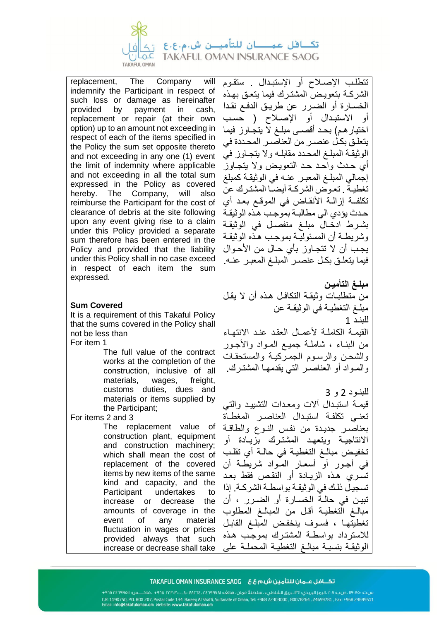

replacement, The Company will indemnify the Participant in respect of such loss or damage as hereinafter provided by payment in cash, replacement or repair (at their own option) up to an amount not exceeding in respect of each of the items specified in the Policy the sum set opposite thereto and not exceeding in any one (1) event the limit of indemnity where applicable and not exceeding in all the total sum expressed in the Policy as covered hereby. The Company, will also reimburse the Participant for the cost of clearance of debris at the site following upon any event giving rise to a claim under this Policy provided a separate sum therefore has been entered in the Policy and provided that the liability under this Policy shall in no case exceed in respect of each item the sum expressed.

## **Sum Covered**

It is a requirement of this Takaful Policy that the sums covered in the Policy shall not be less than

For item 1

The full value of the contract works at the completion of the construction, inclusive of all materials, wages, freight, customs duties, dues and materials or items supplied by the Participant;

For items 2 and 3

The replacement value of construction plant, equipment and construction machinery; which shall mean the cost of replacement of the covered items by new items of the same kind and capacity, and the Participant undertakes to increase or decrease the amounts of coverage in the event of any material fluctuation in wages or prices provided always that such increase or decrease shall take تتطلـب اإلصـالح أو اإلستبـدال . ستقـوم الشركـة بتعويـض المشتـرك فيما يتعـق بهـذه الخسـارة أو الضـرر عن طريـق الدفـع نقـدا أو الاستبدال أو الإصـلاح ( حسب اختيارهم) بحـد أقصـى مبلـغ لاّ يتجـاوز فيما يتعلـق بكـل عنصـر من العناصـر المحـددة في الوثيقـة المبلـغ المحـدد مقابلـه وال يتجـاوز في أي حـدث واحـد حـد التعويـض وال يتجـاوز إجمالي المبلـغ المعبـر عنـه في الوثيقـة كمبلغ تغطيـة . تعـوض الشركـة أيضـا المشتـرك عن تكلفــة إزالـة األنقـاض في الموقـع بعـد أي حـدث يؤدي الي مطالبـة بموجـب هـذه الوثيقـة بشـرط ادخـال مبلـغ منفصـل في الوثيقـة وشريطـة أن المسئوليـة بموجـب هـذه الوثيقـة يجـب أن ال تتجـاوز بأي حـال من األحـوال فيما يتعلـق بكـل عنصـر المبلـغ المعبـر عنـه.

**مبلـغ التأميـن**  من متطلبـات وثيقـة التكافـل هـذه أن ال يقـل مبلـغ التغطيـة في الوثيقـة عن للبنـد 1 القيمـة الكاملـة لأعمـال العقد عنـد الانتهـاء من البنـاء ، شاملـة جميـع المـواد واألجـور والشحـن والرسـوم الجمـركيـة والمستحقـات والمـواد أو العناصـر التي يقدمهـا المشتـرك.

للبنـود 2 و 3 قيمـة استبـدال آالت ومعـدات التشييـد والتي تعنـي تكلفـة استبـدال العناصـر المغطـاة بعناصـر جديـدة من نفـس النـوع والطاقـة االنتاجيـة ويتعهـد المشتـرك بزيـادة أو تخفيـض مبالـغ التغطيـة في حالـة أي تقلـب في أجـور أو أسعـار المـواد شريطـة أن تسـري هـذه الزيـادة أو النقـص فقط بعـد تسجيـل ذلـك في الوثيقـة بواسطـة الشركـة. إذا تبيـن في حالـة الخسـارة أو الضـرر ، أن مبالـغ التغطيـة أقـل من المبالـغ المطلوب تغطيتهـا ، فسـوف ينخفـض المبلـغ القابـل لالسترداد بواسطـة المشتـرك بموجـب هـذه الوثيقـة بنسبـة مبالـغ التغطيـة المحملـة على

####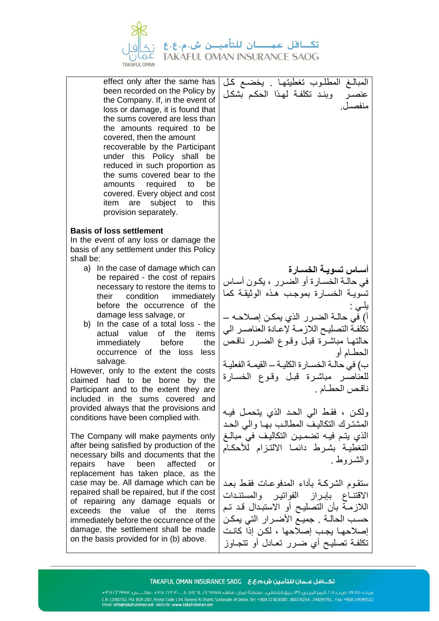

effect only after the same has been recorded on the Policy by the Company. If, in the event of loss or damage, it is found that the sums covered are less than the amounts required to be covered, then the amount recoverable by the Participant under this Policy shall be reduced in such proportion as the sums covered bear to the amounts required to be covered. Every object and cost item are subject to this provision separately.

## **Basis of loss settlement**

In the event of any loss or damage the basis of any settlement under this Policy shall be:

- a) In the case of damage which can be repaired - the cost of repairs necessary to restore the items to their condition immediately before the occurrence of the damage less salvage, or
- b) In the case of a total loss the actual value of the items immediately before the occurrence of the loss less salvage.

However, only to the extent the costs claimed had to be borne by the Participant and to the extent they are included in the sums covered and provided always that the provisions and conditions have been complied with.

The Company will make payments only after being satisfied by production of the necessary bills and documents that the repairs have been affected or replacement has taken place, as the case may be. All damage which can be repaired shall be repaired, but if the cost of repairing any damage equals or exceeds the value of the items immediately before the occurrence of the damage, the settlement shall be made on the basis provided for in (b) above.

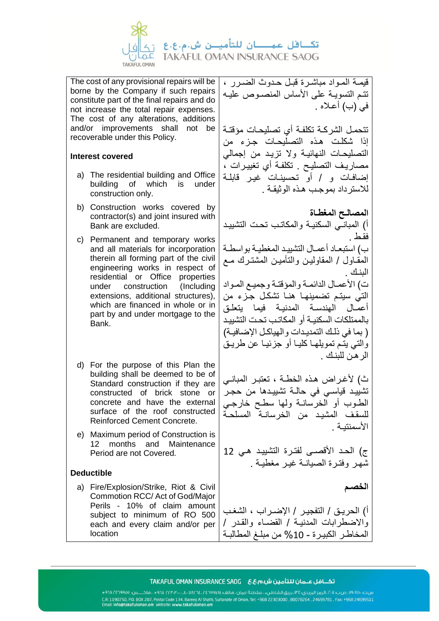

The cost of any provisional repairs will be borne by the Company if such repairs constitute part of the final repairs and do not increase the total repair expenses. The cost of any alterations, additions and/or improvements shall not be recoverable under this Policy.

### **Interest covered**

- a) The residential building and Office building of which is under construction only.
- b) Construction works covered by contractor(s) and joint insured with Bank are excluded.
- c) Permanent and temporary works and all materials for incorporation therein all forming part of the civil engineering works in respect of residential or Office properties under construction (Including extensions, additional structures), which are financed in whole or in part by and under mortgage to the Bank.
- d) For the purpose of this Plan the building shall be deemed to be of Standard construction if they are constructed of brick stone or concrete and have the external surface of the roof constructed Reinforced Cement Concrete.
- e) Maximum period of Construction is 12 months and Maintenance Period are not Covered.

# **Deductible**

a) Fire/Explosion/Strike, Riot & Civil Commotion RCC/ Act of God/Major Perils - 10% of claim amount subject to minimum of RO 500 each and every claim and/or per location

قيمـة المـواد مباشـرة قبـل حـدوث الضـرر ، تتـم التسويـة على األساس المنصـوص عليـه في (ب) أعلاه .

تتحمـل الشركـة تكلفـة أي تصليحـات مؤقتـة إذا شكلـت هـذه التصليحـات جـزء من التصليحـات النهائيـة وال تزيـد من إجمالي مصاريـف التصليـح . تكلفـة أي تغييـرات ، إضافـات و / أو تحسينـات غيـر قابلـة لالسترداد بموجـب هـذه الوثيقـة .

**المصالـح المغطـاة**  أ) المبانــي السكنيــة والمكاتـب تحـت التشبيـد فقـط . ب) استبعـاد أعمـال التشبيـد المغطيـة بو اسطـة المقـاول / المقاوليـن والتأميـن المشتـرك مـع البنـك ت) الأعمـال الدائمـة والمؤقتـة وجميـع المـواد التي سيتـم تضمينهـا هنـا تشكـل جـزء من أعمـال الهندسـة المدنيـة فيما يتعلـق بالممتلكات السكنيـة أو المكاتـب تحـت التشييـد ) بما في ذلـك التمديـدات والهياكـل اإلضافيـة( والتي يتـم تمويلهـا كليـا أو جزئيـا عن طريـق الرهـن للبنـك .

ث( ألغـراض هـذه الخطـة ، تعتبـر المبانـي تشييـد قياسـي في حالـة تشييـدها من حجـر الطـوب أو الخرسانـة ولها سطـح خارجـي للسقـف المشيـد من الخرسانـة المسلحـة األسمنتيـة .

ج) الحد الأقصـى لفتـرة التشييـد هـى 12 شهـر وفتـرة الصيانـة غيـر مغطيـة .

**الخصـم** 

أ) الحريـق / التفجيـر / الإضـراب ، الشغب واالضطرابات المدنيـة / القضـاء والقـدر / المخاطـر الكبيـرة - %10 من مبلـغ المطالبـة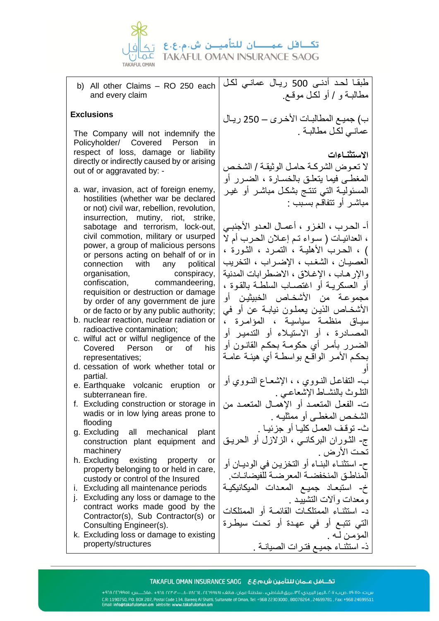

b) All other Claims – RO 250 each and every claim

## **Exclusions**

The Company will not indemnify the Policyholder/ Covered Person in respect of loss, damage or liability directly or indirectly caused by or arising out of or aggravated by: -

- a. war, invasion, act of foreign enemy, hostilities (whether war be declared or not) civil war, rebellion, revolution, insurrection, mutiny, riot, strike, sabotage and terrorism, lock-out, civil commotion, military or usurped power, a group of malicious persons or persons acting on behalf of or in connection with any political organisation, conspiracy, confiscation, commandeering, requisition or destruction or damage by order of any government de jure or de facto or by any public authority;
- b. nuclear reaction, nuclear radiation or radioactive contamination;
- c. wilful act or wilful negligence of the Covered Person or of his representatives;
- d. cessation of work whether total or partial.
- e. Earthquake volcanic eruption or subterranean fire.
- f. Excluding construction or storage in wadis or in low lying areas prone to flooding
- g. Excluding all mechanical plant construction plant equipment and machinery
- h. Excluding existing property or property belonging to or held in care, custody or control of the Insured
- i. Excluding all maintenance periods
- j. Excluding any loss or damage to the contract works made good by the Contractor(s), Sub Contractor(s) or Consulting Engineer(s).
- k. Excluding loss or damage to existing property/structures

طبقـا لحـد أدنـى 500 ريـال عمانـي لكـل مطالبـة و / أو لكـل موقـع.

ب) جميـع المطـالبـات الأخـرى – 250 ريـال عمانـي لكـل مطالبـة .

## **االستثنـاءات**

ال تعـوض الشركـة حامـل الوثيقـة / الشخـص المغطـى فيما يتعلـق بالخسـارة ، الضـرر أو المسئوليـة التي تنتـج بشكـل مباشـر أو غيـر مباشـر أو تتفاقـم بسـبب :

أ- الحـرب ، الغـزو ، أعمـال العـدو األجنبـي ، العدائيـات ) سـواء تـم إعـالن الحـرب أم ال ( ، الحـرب األهليـة ، التمـرد ، الثـورة ، العصيـان ، الشغـب ، اإلضـراب ، التخريب واإلرهـاب ، اإلغـالق ، االضطرابات المدنية أو العسكريـة أو اغتصـاب السلطـة بالقـوة ، مجموعـة من األشخـاص الخبيثيـن أو األشخـاص الذيـن يعملـون نيابـة عن أو في سيـاق منظمـة سياسيـة ، المؤامـرة ، المصـادرة ، أو االستيـالء أو التدميـر أو الضـرر بأمـر أي حكومـة بحكـم القانـون أو بحكـم األمـر الواقـع بواسطـة أي هيئـة عامـة أو ب - التفاعـل النـووي ، ، اإلشعـاع النـووي أو التلـوث بالنشـاط اإلشعاعـي . ت - الفعـل المتعمـد أو اإلهمـال المتعمـد من الشخـص المغطـى أو ممثليـه . ث - توقـف العمـل كليـا أو جزئيـا . ج- الثـوران البركانـي ، الزالزل أو الحريـق تحت الأر ض . ح- استثنـاء البنـاء أو التخزيـن في الوديـان أو المناطـق المنخفضـة المعرضـة للفيضانـات. خ- استبعـاد جميـع المعـدات الميكانيكيـة و معدات و آلات التشييـد . د - استثنـاء الممتلكـات القائمـة أو الممتلكات

التي تتبـع أو في عهـدة أو تحـت سيطـرة المؤمـن لـه . ذ - استثنـاء جميـع فتـرات الصيانـة .

### 

س.ت. ١٩٠٧٥٠، صب ٢٠٧، الرمز البريدي: ٣٤، بريق الشاطيء ، سلطنة عمان ، هاتف؛ ١٩٧٨٥٢، ١٣٤٦، ٢٣٠٣٠، ١٩٨٠ ، فاكـــس: ١٩٤١٩٦٨/٢٣٠١ + CR: 1190750, P.O. BOX 207, Postal Code 134, Bareeq Al Shatti, Sultanate of Oman, Tel: +968 22303000, 80078264, 24699781, Fax: +968 24699511<br>Email: info@takafuloman.om Website: www.takafuloman.om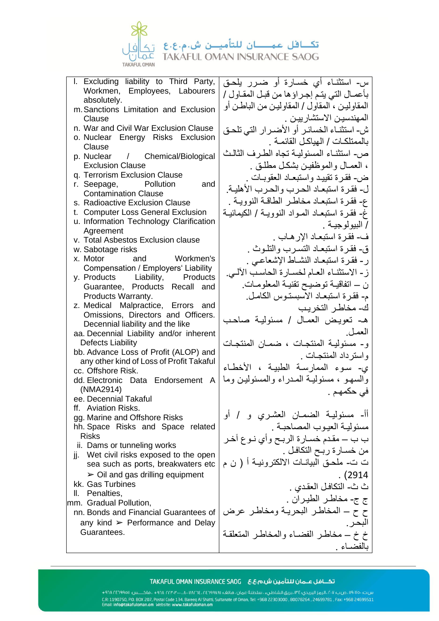

l. Excluding liability to Third Party, Workmen, Employees, Labourers absolutely. m.Sanctions Limitation and Exclusion Clause n. War and Civil War Exclusion Clause o. Nuclear Energy Risks Exclusion Clause p. Nuclear / Chemical/Biological Exclusion Clause q. Terrorism Exclusion Clause r. Seepage, Pollution and Contamination Clause s. Radioactive Exclusion Clause t. Computer Loss General Exclusion u. Information Technology Clarification **Agreement** v. Total Asbestos Exclusion clause w. Sabotage risks x. Motor and Workmen's Compensation / Employers' Liability y. Products Liability, Products Guarantee, Products Recall and Products Warranty. z. Medical Malpractice, Errors and Omissions, Directors and Officers. Decennial liability and the like aa. Decennial Liability and/or inherent Defects Liability bb. Advance Loss of Profit (ALOP) and any other kind of Loss of Profit Takaful cc. Offshore Risk. dd. Electronic Data Endorsement A (NMA2914) ee. Decennial Takaful ff. Aviation Risks. gg. Marine and Offshore Risks hh. Space Risks and Space related Risks ii. Dams or tunneling works ji. Wet civil risks exposed to the open sea such as ports, breakwaters etc  $\geq$  Oil and gas drilling equipment kk. Gas Turbines

ll. Penalties,

mm. Gradual Pollution,

nn. Bonds and Financial Guarantees of any kind  $\geq$  Performance and Delay Guarantees.

س- استثنـاء أي خسـارة أو ضـرر يلحـق بأعمـال التي يتـم إجـراؤها من قبـل المقـاول / المقاوليـن ، المقاول / المقاوليـن من الباطـن أو المهندسيـن االستشارييـن . ش- استثنـاء الخسائـر أو األضـرار التي تلحـق بالممتلكـات / الهياكـل القائمـة . ص - استثنـاء المسئوليـة تجاه الطـرف الثالـث ، العمـال والموظفيـن بشكـل مطلـق . ض - فقـرة تقييـد واستبعـاد العقوبـات . ل- فقـرة استبعـاد الحـرب والحـرب األهليـة. ع- فقـرة استبعـاد مخاطـر الطاقـة النوويـة . غ- فقـرة استبعـاد المـواد النوويـة / الكيمائيـة / البيولوجيـة . ف- فقـرة استبعـاد اإلرهـاب . ق- فقـرة استبعـاد التسـرب والتلـوث . ر- فقـرة استبعـاد النشـاط اإلشعاعـي . ز- االستثنـاء العـام لخسـارة الحاسـب اآللـي. ن – اتفاقيـة توضيـح تقنيـة المعلومـات. م- فقـرة استبعـاد االسبستـوس الكامـل. ك- مخاطـر التخريـب هـ- تعويـض العمـال / مسئوليـة صاحـب العمـل. و- مسئوليـة المنتجـات ، ضمـان المنتجـات واسترداد المنتجـات . ي- سـوء الممارسـة الطبيـة ، األخطـاء والسهـو ، مسئوليـة المـدراء والمسئوليـن وما في حكمهـم . أأ- مسئوليـة الضمـان العشـري و / أو مسئوليـة العيـوب المصاحبـة . ب ب – مقـدم خسـارة الر بـح وأي نـوع آخـر من خسـارة ربـح التكافـل . ت ت - ملحـق البيانـات االلكترونيـة أ ) ن م . )2914 ث ث - التكافـل العقـدي . ج ج- مخاطـر الطيـران . ح ح – المخاطـر البحريـة ومخاطـر عرض البحـر. خ خ – مخاطـر الفضـاء والمخاطـر المتعلقـة بالفضـاء .

####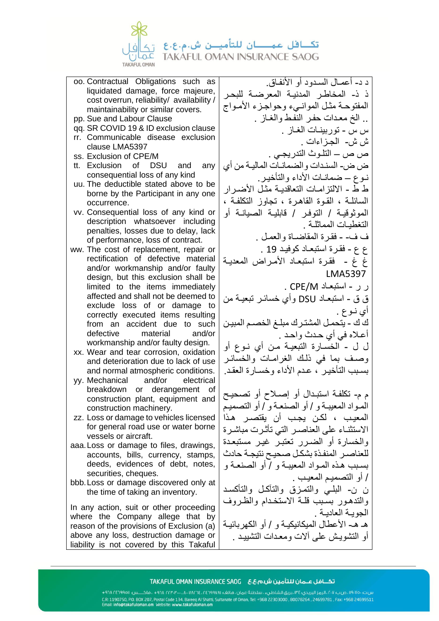

- oo. Contractual Obligations such as liquidated damage, force majeure, cost overrun, reliability/ availability / maintainability or similar covers.
- pp. Sue and Labour Clause
- qq. SR COVID 19 & ID exclusion clause
- rr. Communicable disease exclusion clause LMA5397
- ss. Exclusion of CPE/M
- tt. Exclusion of DSU and any consequential loss of any kind
- uu. The deductible stated above to be borne by the Participant in any one occurrence.
- vv. Consequential loss of any kind or description whatsoever including penalties, losses due to delay, lack of performance, loss of contract.
- ww. The cost of replacement, repair or rectification of defective material and/or workmanship and/or faulty design, but this exclusion shall be limited to the items immediately affected and shall not be deemed to exclude loss of or damage to correctly executed items resulting from an accident due to such defective material and/or workmanship and/or faulty design.
- xx. Wear and tear corrosion, oxidation and deterioration due to lack of use and normal atmospheric conditions.
- yy. Mechanical and/or electrical breakdown or derangement of construction plant, equipment and construction machinery.
- zz. Loss or damage to vehicles licensed for general road use or water borne vessels or aircraft.
- aaa.Loss or damage to files, drawings, accounts, bills, currency, stamps, deeds, evidences of debt, notes, securities, cheques.
- bbb.Loss or damage discovered only at the time of taking an inventory.

In any action, suit or other proceeding where the Company allege that by reason of the provisions of Exclusion (a) above any loss, destruction damage or liability is not covered by this Takaful

د د - أعمـال السـدود أو األنفـاق. ذ ذ - المخاطـر المدنيـة المعرضـة للبحـر المفتوحـة مثـل الموانـيء وحواجـزء األمـواج .. الخ معـدات حفـر النفـط والغـاز . س س - توربينـات الغـاز . ش ش- الجـزاءات . ص ص – التلـوث التدريجـي . ض ض - السنـدات والضمانـات الماليـة من أي نـوع – ضمانـات األداء والتأخيـر. ط ط - الالتز امـات التعاقديـة مثـل الأضـر ار السائلـة ، القـوة القاهـرة ، تجاوز التكلفـة ، الموثوقيـة / التوفـر / قابليـة الصيانـة أو التغطيـات المماثلـة . ف ف- - فقـرة المقاضـاة والعمـل . ع ع - فقـرة استبعـاد كوفيـد 19 . غ غ - فقـرة استبعـاد األمـراض المعديـة LMA5397 ر ر - استبعـاد M/CPE . ق ق - استبعـاد DSU وأي خسائـر تبعيـة من أي نـوع . ك ك - يتحمـل المشتـرك مبلـغ الخصـم المبيـن أعـاله في أي حـدث واحـد . ل ل - الخسـارة التبعيـة مـن أي نـوع أو وصـف بما في ذلـك الغرامـات والخسائـر بسـبب التأخيـر ، عـدم األداء وخسـارة العقـد. م م - تكلفـة استبـدال أو إصـالح أو تصحيـح المـواد المعيبـة و / أو الصنعـة و / أو التصميـم المعيـب ، لكـن يجـب أن يقتصـر هـذا االستثنـاء على العناصـر التي تأثـرت مباشـرة والخسارة أو الضـرر تعتبـر غيـر مستبعـدة للعناصـر المنفـذة بشكـل صحيـح نتيجـة حادث بسـبب هـذه المـواد المعيبـة و / أو الصنعـة و / أو التصميـم المعيـب . ن ن- البلـي والتمـزق والتآكـل والتأكسـد والتدهـور بسـبب قلـة االستخـدام والظـروف الجويـة العاديـة . هـ هـ- الأعطال الميكانيكيـة و / أو الكهر بائيـة

أو التشويـش على آالت ومعـدات التشييـد .

###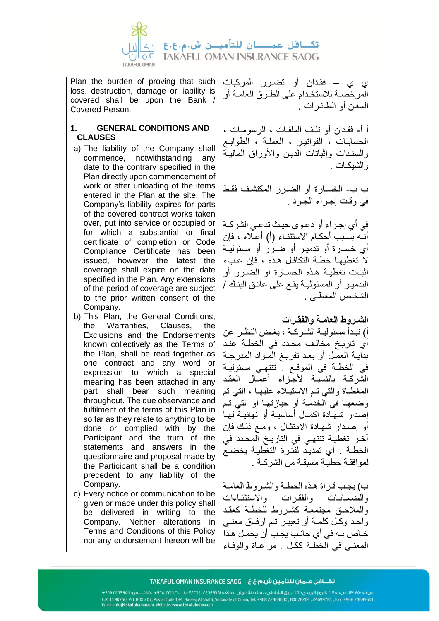

Plan the burden of proving that such loss, destruction, damage or liability is covered shall be upon the Bank / Covered Person.

## **1. GENERAL CONDITIONS AND CLAUSES**

- a) The liability of the Company shall commence, notwithstanding any date to the contrary specified in the Plan directly upon commencement of work or after unloading of the items entered in the Plan at the site. The Company's liability expires for parts of the covered contract works taken over, put into service or occupied or for which a substantial or final certificate of completion or Code Compliance Certificate has been issued, however the latest the coverage shall expire on the date specified in the Plan. Any extensions of the period of coverage are subject to the prior written consent of the Company.
- b) This Plan, the General Conditions, the Warranties, Clauses, the Exclusions and the Endorsements known collectively as the Terms of the Plan, shall be read together as one contract and any word or expression to which a special meaning has been attached in any part shall bear such meaning throughout. The due observance and fulfilment of the terms of this Plan in so far as they relate to anything to be done or complied with by the Participant and the truth of the statements and answers in the questionnaire and proposal made by the Participant shall be a condition precedent to any liability of the Company.
- c) Every notice or communication to be given or made under this policy shall be delivered in writing to the Company. Neither alterations in Terms and Conditions of this Policy nor any endorsement hereon will be

ي ي – فقـدان أو تضـرر المركبات المرخصـة لالستخـدام على الطـرق العامـة أو السفـن أو الطائـرات .

أ أ- فقـدان أو تلـف الملفـات ، الرسومـات ، الحسابـات ، الفواتيـر ، العملـة ، الطوابـع والسنـدات وإثباتات الديـن واألوراق الماليـة والشيكـات .

ب ب - الخسـارة أو الضـرر المكتشـف فقـط في وقـت إجـراء الجـرد .

في أي إجـراء أو دعـوى حيـث تدعـي الشركـة أنـه بسـبب أحكـام االستثنـاء )أ( أعـاله ، فإن أي خسـارة أو تدميـر أو ضـرر أو مسئوليـة ال تغطيهـا خطـة التكافـل هـذه ، فإن عـبء اثبـات تغطيـة هـذه الخسـارة أو الضـرر أو التدميـر أو المسئوليـة يقـع على عاتـق البنـك / الشخـص المغطـى .

**الشـروط العامـة والفقـرات** 

أ) تبـدأ مسئوليـة الشـركـة ، بغـض النظـر عن أي تاريـخ مخالـف محـدد في الخطـة عنـد بدايـة العمـل أو بعـد تفريـغ المـواد المدرجـة في الخطـة في الموقـع . تنتهـي مسئوليـة الشركـة بالنسبـة ألجـزاء أعمـال العقـد المغطـاة والتي تـم االستيـالء عليهـا ، التي تم وضعهـا في الخدمـة أو حيازتهـا أو التي تـم إصدار شهـادة اكمـال أساسيـة أو نهائيـة لهـا أو إصـدار شهـادة االمتثـال ، ومـع ذلـك فإن آخـر تغطيـة تنتهـي في التاريـخ المحـدد في الخطـة . أي تمديـد لفتـرة التغطيـة يخضـع لموافقـة خطيـة مسبقـة من الشركـة .

ب( يجـب قـراة هـذه الخطـة والشـروط العامـة والضمـانـات والفقـرات واالستثنـاءات والمالحـق مجتمعـة كشـروط للخطـة كعقـد واحـد وكـل كلمـة أو تعبيـر تـم ارفـاق معنـى خـاص بـه في أي جانـب يجـب أن يحمـل هـذا المعنـى في الخطـة ككـل . مراعـاة والوفـاء

###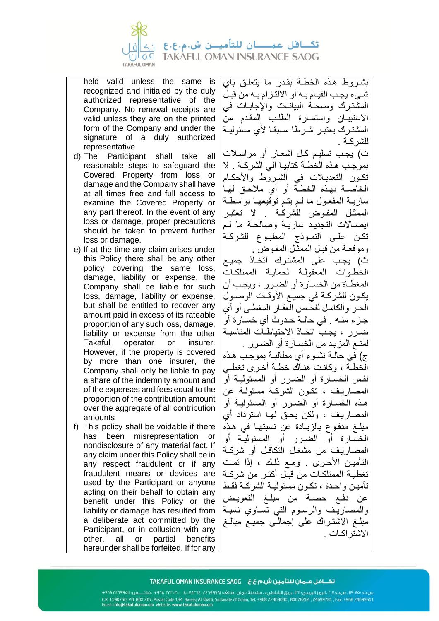

held valid unless the same is recognized and initialed by the duly authorized representative of the Company. No renewal receipts are valid unless they are on the printed form of the Company and under the signature of a duly authorized representative

- d) The Participant shall take all reasonable steps to safeguard the Covered Property from loss or damage and the Company shall have at all times free and full access to examine the Covered Property or any part thereof. In the event of any loss or damage, proper precautions should be taken to prevent further loss or damage.
- e) If at the time any claim arises under this Policy there shall be any other policy covering the same loss, damage, liability or expense, the Company shall be liable for such loss, damage, liability or expense, but shall be entitled to recover any amount paid in excess of its rateable proportion of any such loss, damage, liability or expense from the other Takaful operator or insurer. However, if the property is covered by more than one insurer, the Company shall only be liable to pay a share of the indemnity amount and of the expenses and fees equal to the proportion of the contribution amount over the aggregate of all contribution amounts
- f) This policy shall be voidable if there has been misrepresentation or nondisclosure of any material fact. If any claim under this Policy shall be in any respect fraudulent or if any fraudulent means or devices are used by the Participant or anyone acting on their behalf to obtain any benefit under this Policy or the liability or damage has resulted from a deliberate act committed by the Participant, or in collusion with any other, all or partial benefits hereunder shall be forfeited. If for any

بشـروط هـذه الخطـة بقـدر ما يتعلـق بأي شـيء يجـب القيـام بـه أو االلتـزام بـه من قبـل المشتـرك وصحـة البيانـات واإلجابـات في االستبيـان واستمـارة الطلـب المقـدم من المشتـرك يعتبـر شـرطا مسبقـا ألي مسئوليـة للشركـة .

ت( يجـب تسليـم كـل اشعـار أو مراسـالت بموجـب هـذه الخطـة كتابيـا الي الشركـة . ال تكـون التعديـالت في الشـروط واألحكـام الخاصـة بهـذه الخطـة أو أي مالحـق لهـا ساريـة المفعـول ما لـم يتـم توقيعهـا بواسطـة الممثـل المفـوض للشركـة . ال تعتبـر ايصـاالت التجديـد ساريـة وصالحـة ما لـم تكـن علـى النمـوذج المطبـوع للشركـة وموقعـة من قبـل الممثـل المفـوض . ث( يجـب على المشتـرك اتخـاذ جميـع الخطـوات المعقولـة لحمايـة الممتلكـات المغطـاة من الخسـارة أو الضـرر ، ويجـب أن يكـون للشركـة في جميـع األوقـات الوصـول الحـر والكامـل لفحـص العقـار المغطـى أو أي جـزء منـه . في حالـة حـدوث أي خسـارة أو ضـرر ، يجـب اتخـاذ االحتياطـات المناسبـة لمنـع المزيـد من الخسـارة أو الضـرر . ج( في حالـة نشـوء أي مطالبـة بموجـب هـذه الخطـة ، وكانـت هنـاك خطـة أخـرى تغطـي نفـس الخسـارة أو الضـرر أو المسئوليـة أو المصاريـف ، تكـون الشركـة مسئولـة عن هـذه الخسـارة أو الضـرر أو المسئوليـة أو المصاريـف ، ولكن يحـق لهـا استرداد أي مبلـغ مدفـوع بالزيـادة عن نسبتهـا في هـذه الخسـارة أو الضـرر أو المسئوليـة أو المصاريـف من مشغـل التكافـل أو شركـة التأمين الأخـرى . ومـع ذلك ، إذا تمت تغطيـة الممتلكـات من قبـل أكثـر من شركـة تأميـن واحـدة ، تكـون مسئوليـة الشركـة فقـط عن دفـع حصـة من مبلـغ التعويـض والمصاريـف والرسـوم التي تسـاوي نسبـة مبلـغ االشتـراك على إجمالـي جميـع مبالـغ االشتراكـات .

####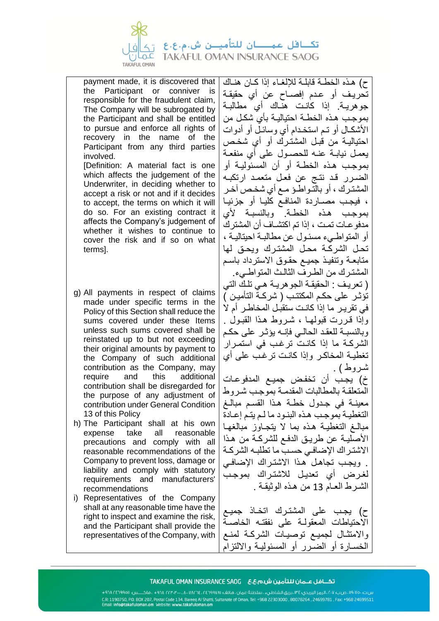

payment made, it is discovered that the Participant or conniver is responsible for the fraudulent claim, The Company will be subrogated by the Participant and shall be entitled to pursue and enforce all rights of recovery in the name of the Participant from any third parties involved.

[Definition: A material fact is one which affects the judgement of the Underwriter, in deciding whether to accept a risk or not and if it decides to accept, the terms on which it will do so. For an existing contract it affects the Company's judgement of whether it wishes to continue to cover the risk and if so on what terms].

- g) All payments in respect of claims made under specific terms in the Policy of this Section shall reduce the sums covered under these Items unless such sums covered shall be reinstated up to but not exceeding their original amounts by payment to the Company of such additional contribution as the Company, may require and this additional contribution shall be disregarded for the purpose of any adjustment of contribution under General Condition 13 of this Policy
- h) The Participant shall at his own expense take all reasonable precautions and comply with all reasonable recommendations of the Company to prevent loss, damage or liability and comply with statutory requirements and manufacturers' recommendations
- i) Representatives of the Company shall at any reasonable time have the right to inspect and examine the risk, and the Participant shall provide the representatives of the Company, with

ح( هـذه الخطـة قابلـة لإللغـاء إذا كـان هنـاك تحريـف أو عـدم إفصـاح عن أي حقيقـة جوهريـة. إذا كانـت هنـاك أي مطالبـة بموجـب هـذه الخطـة احتياليـة بأي شكـل من األشكـال أو تـم استخـدام أي وسائـل أو أدوات احتياليـة من قبـل المشتـرك أو أي شخـص يعمـل نيابـة عنـه للحصـول على أي منفعـة بموجـب هـذه الخطـة أو أن المسئوليـة أو الضـرر قـد نتـج عن فعـل متعمـد ارتكبـه المشتـرك ، أو بالتـواطـؤ مـع أي شخـص آخـر ، فيجـب مصـاردة المنافـع كليـا أو جزئيـا بموجـب هـذه الخطـة. وبالنسبـة ألي مدفوعـات تمـت ، إذا تم اكتشـاف أن المشترك أو المتواطـيء مسئـول عن مطالبـة احيتاليـة ، تحـل الشركـة محـل المشتـرك ويحـق لها متابعـة وتنفيـذ جميـع حقـوق االسترداد باسـم المشتـرك من الطـرف الثالـث المتواطـيء. ) تعريـف : الحقيقـة الجوهريـة هـي تلـك التي تؤثـر على حكـم المكتتـب ) شركـة التأميـن ( في تقريـر ما إذا كانـت ستقبـل المخاطـر أم لا وإذا قـررت قبولهـا ، شـروط هـذا القبـول . وبالنسبـة للعقـد الحالـي فإنـه يؤثـر على حكـم الشركـة ما إذا كانـت ترغـب في استمـرار تغطيـة المخاكـر وإذا كانـت ترغـب على أي شروط ) . خ( يجـب أن تخفـض جميـع المدفوعـات المتعلقـة بالمطالبات المقدمـة بموجـب شـروط معينـة في جـدول خطـة هـذا القسـم مبالـغ التغطيـة بموجـب هـذه البنـود ما لـم يتـم إعـادة مبالـغ التغطيـة هـذه بما ال يتجـاوز مبالغهـا األصليـة عن طريـق الدفـع للشركـة من هـذا االشتـراك اإلضافـي حسـب ما تطلبـه الشركـة . ويجـب تجاهـل هـذا االشتـراك اإلضافـي لغـرض أي تعديـل لالشتـراك بموجـب الشـرط العـام 13 من هـذه الوثيقـة .

ح) يجب على المشترك اتخـاذ جميـع االحتياطات المعقولـة على نفقتـه الخاصـة واالمتثـال لجميـع توصيـات الشركـة لمنـ ع الخسـارة أو الضـرر أو المسئوليـة وااللتزام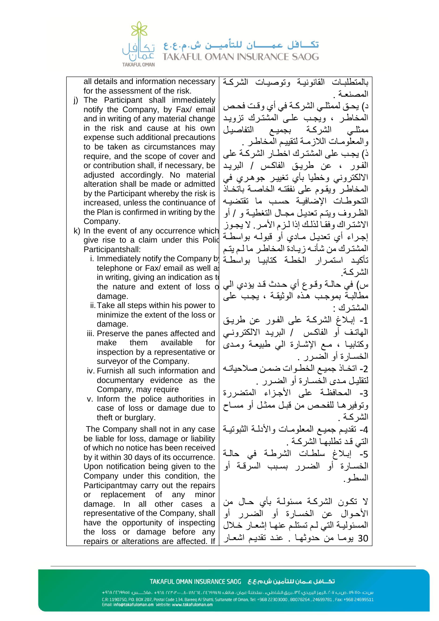

all details and information necessary for the assessment of the risk.

- j) The Participant shall immediately notify the Company, by Fax/ email and in writing of any material change in the risk and cause at his own expense such additional precautions to be taken as circumstances may require, and the scope of cover and or contribution shall, if necessary, be adiusted accordingly. No material alteration shall be made or admitted by the Participant whereby the risk is increased, unless the continuance of the Plan is confirmed in writing by the Company.
- $k$ ) In the event of any occurrence which give rise to a claim under this Polid Participantshall:
	- telephone or Fax/ email as well as in writing, giving an indication as to the nature and extent of loss of damage.
	- ii.Take all steps within his power to minimize the extent of the loss or damage.
	- iii. Preserve the panes affected and make them available for inspection by a representative or surveyor of the Company.
	- iv. Furnish all such information and documentary evidence as the Company, may require
	- v. Inform the police authorities in case of loss or damage due to theft or burglary.

The Company shall not in any case be liable for loss, damage or liability of which no notice has been received by it within 30 days of its occurrence. Upon notification being given to the Company under this condition, the Participantmay carry out the repairs or replacement of any minor damage. In all other cases a representative of the Company, shall have the opportunity of inspecting the loss or damage before any repairs or alterations are affected. If بالمتطلبـات القانونيـة وتوصيـات الشركـة المصنعـة .

د) يحـق لممثلـي الشركــة في أي وقـت فحـص المخاطـر ، ويجـب علـى المشتـرك تزويـد ممثلـي الشركـة بجميـع التفاصيـل والمعلومـات الالزمـة لتقييـم المخاطـر . ذ( يجـب على المشتـرك اخطـار الشركـة على الفـور ، عن طريـق الفاكـس / البريـد االلكتروني وخطيا بأي تغييـر جوهـري في المخاطـر ويقـوم على نفقتـه الخاصـة باتخـاذ التحوطـات اإلضافيـة حسـب ما تقتضيـه الظـروف ويتـم تعديـل مجـال التغطيـة و / أو االشتـراك وفقـا لذلـك إذا لـزم األمـر. ال يجـوز إجـراء أي تعديـل مـادي أو قبولـه بواسطـة المشتـرك من شأنـه زيـادة المخاطـر ما لـم يتـم تأكيـد استمـرار الخطـة كتابيـا بواسطـة i. Immediately notify the Company by الشركـة.

س( في حالـة وقـوع أي حـدث قـد يؤدي الي مطالبـة بموجـب هـذه الوثيقـة ، يجـب على المشتـرك : -1 إبـالغ الشركـة على الفـور عن طريـق

الهاتـف أو الفاكـس / البريـد االلكترونـي وكتابيـا ، مـع اإلشـارة الي طبيعـة ومـدى الخسـارة أو الضـرر . -2 اتخـاذ جميـع الخطـوات ضمـن صالحياتـه

لتقليـل مـدى الخسـارة أو الضـرر . 3- المحافظـة على الأجـزاء المتضررة وتوفيرهـا للفحـص من قبـل ممثـل أو مسـاح الشركـة .

-4 تقديـم جميـع المعلومـات واألدلـة الثبوتيـة التي قـد تطلبهـا الشركـة . -5 إبـالغ سلطـات الشرطـة في حالـة الخسـارة أو الضـرر بسـبب السرقـة أو السطـو.

ال تكـون الشركـة مسئولـة بأي حـال من األحـوال عن الخسـارة أو الضـرر أو المسئوليـة التي لـم تستلـم عنهـا إشعـار خـالل 30 يومـا من حدوثهـا . عنـد تقديـم اشعـار

####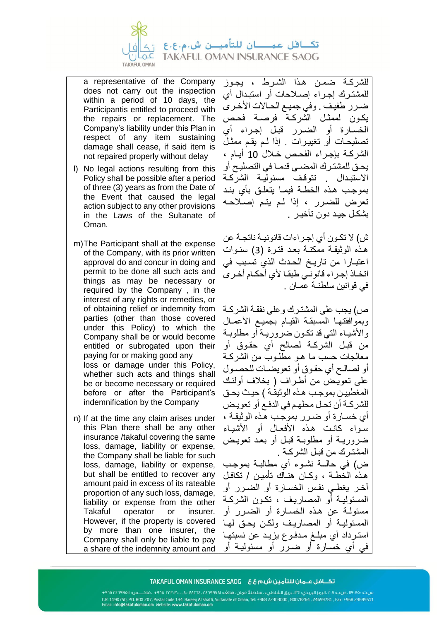

a representative of the Company does not carry out the inspection within a period of 10 days, the Participantis entitled to proceed with the repairs or replacement. The Company's liability under this Plan in respect of any item sustaining damage shall cease, if said item is not repaired properly without delay

- l) No legal actions resulting from this Policy shall be possible after a period of three (3) years as from the Date of the Event that caused the legal action subject to any other provisions in the Laws of the Sultanate of Oman.
- m)The Participant shall at the expense of the Company, with its prior written approval do and concur in doing and permit to be done all such acts and things as may be necessary or required by the Company , in the interest of any rights or remedies, or of obtaining relief or indemnity from parties (other than those covered under this Policy) to which the Company shall be or would become entitled or subrogated upon their paying for or making good any loss or damage under this Policy, whether such acts and things shall be or become necessary or required before or after the Participant's indemnification by the Company
- n) If at the time any claim arises under this Plan there shall be any other insurance /takaful covering the same loss, damage, liability or expense, the Company shall be liable for such loss, damage, liability or expense, but shall be entitled to recover any amount paid in excess of its rateable proportion of any such loss, damage, liability or expense from the other Takaful operator or insurer. However, if the property is covered by more than one insurer, the Company shall only be liable to pay a share of the indemnity amount and

للشركـة ضمـن هـذا الشـرط ، يجـوز للمشتـرك إجـراء إصـالحات أو استبـدال أي ضـرر طفيف . وفي جميـع الحـالات الأخـرى يكـون لممثـل الشركـة فرصـة فحـص الخسـارة أو الضـرر قبـل إجـراء أي تصليحـات أو تغييـرات . إذا لـم يقـم ممثـل الشركـة بإجـراء الفحـص خـالل 10 أيـام ، يحـق للمشتـرك المضـي قدمـا في التصليـح أو الاستبـدال . تتوقف مسئوليـة الشركـة بموجـب هـذه الخطـة فيمـا يتعلـق بأي بنـد تعرض للضـرر ، إذا لـم يتـم إصـالحـه بشكـل جيـد دون تأخيـر .

ش( ال تكـون أي إجـراءات قانونيـة ناتجـة عن هـذه الوثيقـة ممكنـة بعـد فتـرة )3( سنـوات اعتبـارا من تاريـخ الحـدث الذي تسـبب في اتخـاذ إجـراء قانونـي طبقـا ألي أحكـام أخـرى في قوانين سلطنـة عمـان .

ص( يجب على المشتـرك وعلى نفقـة الشركـة وبموافقتهـا المسبقـة القيـام بجميـع الأعمـال واألشيـاء التي قد تكـون ضروريـة أو مطلوبـة من قبـل الشركـة لصالح أي حقـوق أو معالجات حسب ما هـو مطلـوب من الشركـة أو لصالـح أي حقـوق أو تعويضـات للحصـول على تعويـض من أطـراف ) بخالف أولئـك المغطييـن بموجـب هـذه الوثيقـة ( حيـث يحـق للشركـة أن تحـل محلهـم في الدفـع أو تعويـض أي خسـارة أو ضـرر بموجـب هـذه الوثيقـة ، سـواء كانـت هـذه األفعـال أو األشيـاء ضروريـة أو مطلوبـة قبـل أو بعـد تعويـض المشتـرك من قبـل الشركـة . ض) في حالـــة نشـوء أي مطالبــة بموجب هـذه الخطـة ، وكـان هنـاك تأميـن / تكافـل آخـر يغطـي نفـس الخسـارة أو الضـرر أو المسئوليـة أو المصاريـف ، تكـون الشركـة مسئولـة عن هـذه الخسـارة أو الضـرر أو المسئوليـة أو المصاريـف ولكـن يحـق لهـا استـرداد أي مبلـغ مـدفـوع يزيـد عن نسبتهـا في أي خسـارة أو ضـرر أو مسئوليـة أو

####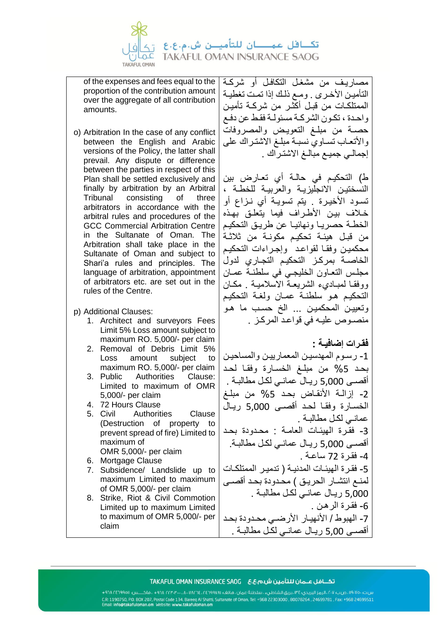

of the expenses and fees equal to the proportion of the contribution amount over the aggregate of all contribution amounts.

- o) Arbitration In the case of any conflict between the English and Arabic versions of the Policy, the latter shall prevail. Any dispute or difference between the parties in respect of this Plan shall be settled exclusively and finally by arbitration by an Arbitral Tribunal consisting of three arbitrators in accordance with the arbitral rules and procedures of the GCC Commercial Arbitration Centre in the Sultanate of Oman. The Arbitration shall take place in the Sultanate of Oman and subject to Shari'a rules and principles. The language of arbitration, appointment of arbitrators etc. are set out in the rules of the Centre.
- p) Additional Clauses:
	- 1. Architect and surveyors Fees Limit 5% Loss amount subject to maximum RO. 5,000/- per claim
	- 2. Removal of Debris Limit 5% Loss amount subject to maximum RO. 5,000/- per claim
	- 3. Public Authorities Clause: Limited to maximum of OMR 5,000/- per claim
	- 4. 72 Hours Clause
	- 5. Civil Authorities Clause (Destruction of property to prevent spread of fire) Limited to maximum of OMR 5,000/- per claim
	- 6. Mortgage Clause
	- 7. Subsidence/ Landslide up to maximum Limited to maximum of OMR 5,000/- per claim
	- 8. Strike, Riot & Civil Commotion Limited up to maximum Limited to maximum of OMR 5,000/- per claim

مصاريـف من مشغـل التكافـل أو شركـة التأميـن الأخـرى . ومـع ذلك إذا تمـت تغطيـة الممتلكـات من قبـل أكثـر من شركـة تأميـن واحـدة ، تكـون الشركـة مسئولـة فقـط عن دفـع حصـة من مبلـغ التعويـض والمصروفات واألتعـاب تسـاوي نسبـة مبلـغ االشتـراك على إجمالـي جميـع مبالـغ االشتـراك .

ط) التحكيـم في حالـة أي تعـارض بين النسختيـن االنجليزيـة والعربيـة للخطـة ، تسـود األخيـرة . يتم تسويـة أي نـزاع أو خـالف بيـن األطـراف فيما يتعلـق بهـذه الخطـة حصريـا ونهائيـا عن طريـق التحكيـم من قبـل هيئـة تحكيـم مكونـة من ثالثـة محكميـن وفقـا لقواعـد وإجـراءات التحكيـم الخاصـة بمركـز التحكيـم التجـاري لدول مجلـس التعـاون الخليجـي في سلطنـة عمـان ووفقـا لمبـاديء الشريعـة االسالميـة . مكـان التحكيـم هـو سلطنـة عمـان ولغـة التحكيـم وتعييـن المحكميـن ... الخ حسـب ما هـو منصـوص عليـه في قواعـد المركـز .

**فقـرات إضافيـة :** 

-1 رسـوم المهدسيـن المعمارييـن والمساحيـن بحـد %5 من مبلـغ الخسـارة وفقـا لحـد أقصـى 5,000 ريـال عمانـي لكـل مطالبـة . -2 إزالـة األنقـاض بحـد %5 من مبلـغ الخسـارة وفقـا لحـد أقصـى 5,000 ريـال عمانـي لكـل مطالبـة . -3 فقـرة الهيئـات العامـة : محـدودة بحـد أقصـى 5,000 ريـال عمانـي لكـل مطالبـة. -4 فقـرة 72 ساعـة . -5 فقـرة الهيئـات المدنيـة ) تدميـر الممتلكـات لمنـع انتشـار الحريـق ( محـدودة بحـد أقصـى 5,000 ريـال عمانـي لكـل مطالبـة . -6 فقـرة الرهـن . -7 الهبوط / األنهيـار األرضـي محـدودة بحـد أقصـى 5,00 ريـال عمانـي لكـل مطالبـة .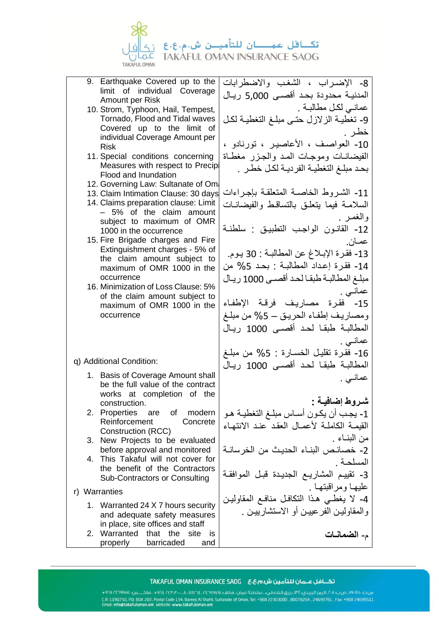

- 9. Earthquake Covered up to the limit of individual Coverage Amount per Risk
- 10. Strom, Typhoon, Hail, Tempest, Tornado, Flood and Tidal waves Covered up to the limit of individual Coverage Amount per Risk
- 11. Special conditions concerning Measures with respect to Precipit Flood and Inundation
- 12. Governing Law: Sultanate of Oma
- 13. Claim Intimation Clause: 30 days
- 14. Claims preparation clause: Limit – 5% of the claim amount subject to maximum of OMR 1000 in the occurrence
- 15. Fire Brigade charges and Fire Extinguishment charges - 5% of the claim amount subject to maximum of OMR 1000 in the occurrence
- 16. Minimization of Loss Clause: 5% of the claim amount subject to maximum of OMR 1000 in the occurrence

q) Additional Condition:

- 1. Basis of Coverage Amount shall be the full value of the contract works at completion of the construction.
- 2. Properties are of modern Reinforcement Concrete Construction (RCC)
- 3. New Projects to be evaluated before approval and monitored
- 4. This Takaful will not cover for the benefit of the Contractors Sub-Contractors or Consulting
- r) Warranties
	- 1. Warranted 24 X 7 hours security and adequate safety measures in place, site offices and staff
	- 2. Warranted that the site is properly barricaded and

-8 اإلضـراب ، الشغـب واالضطرابات المدنيـة محدودة بحـد أقصـى 5,000 ريـال عمانـي لكـل مطالبـة . -9 تغطيـة الزالزل حتـى مبلـغ التغطيـة لكـل خطـر . -10 العواصـف ، األعاصيـر ، تورنادو ، الفيضانـات وموجـات المـد والجـزر مغطـاة بحـد مبلـغ التغطيـة الفرديـة لكـل خطـر . -11 الشـروط الخاصـة المتعلقـة بإجـراءات السالمـة فيما يتعلـق بالتساقـط والفيضانـات والغمـر . -12 القانـون الواجـب التطبيـق : سلطنـة عمـان. -13 فقـرة اإلبـالغ عن المطالبـة : 30 يـوم. -14 فقـرة إعـداد المطالبـة : بحـد %5 من مبلـغ المطالبـة طبقـا لحـد أقصـى 1000 ريـال عمانـي . -15 فقـرة مصاريـف فرقـة اإلطفـاء ومصاريـف إطفـاء الحريـق – %5 من مبلـغ المطالبـة طبقـا لحـد أقصـى 1000 ريـال عمانـي . -16 فقـرة تقليـل الخسـارة : %5 من مبلـغ المطالبـة طبقـا لحـد أقصـى 1000 ريـال عمانـي . **شـروط إضافيـة :**  -1 يجـب أن يكـون أسـاس مبلـغ التغطيـة هـو القيمـة الكاملـة لأعمـال العقد عنـد الانتهـاء من البنـاء . -2 خصائـص البنـاء الحديـث من الخرسانـة المسلحـة . -3 تقييـم المشاريـع الجديـدة قبـل الموافقـة عليهـا ومراقبتهـا . -4 ال يغطـي هـذا التكافـل منافـع المقاوليـن والمقاوليـن الفرعييـن أو االستشارييـن . م- **الضمانـات** 

### 

س.ت. ١٩٠٧٥٠، صب ٢٠٧، الرمز البريدي: ٣٤، بريق الشاطيء ، سلطنة عمان ، هاتف؛ ١٩٧٨٥٢، ١٣٤٦، ٢٣٠٣٠، ١٩٨٠ ، فاكـــس: ١٩٤١٩٦٨/٢٣٠١ + س.ت: ۱۹۰۰ می بازی از ایری استفاده کوری استفاده کوری استفاده است. از ۱۹۰۲ میلاد به ۱۹۰۰ میلاد است.<br>CR. 1190750, PD. BDX 207, Postal Code 134, Bareeq Al Shatti, Sultanate of Oman, Tel: +968 22303000 , 80078264<br>Email: info@t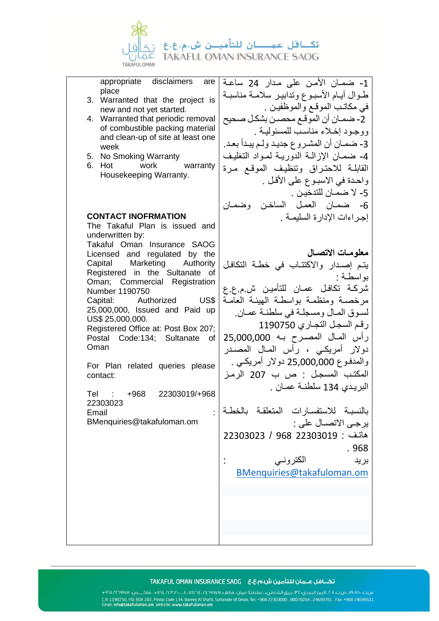

appropriate disclaimers are place

- 3. Warranted that the project is new and not yet started.
- 4. Warranted that periodic removal of combustible packing material and clean-up of site at least one week
- 5. No Smoking Warranty
- 6. Hot work warranty Housekeeping Warranty.

### **CONTACT INOFRMATION**

The Takaful Plan is issued and underwritten by: Takaful Oman Insurance SAOG Licensed and regulated by the Capital Marketing Authority Registered in the Sultanate of Oman; Commercial Registration Number 1190750 Capital: Authorized US\$ 25,000,000, Issued and Paid up US\$ 25,000,000. Registered Office at: Post Box 207; Postal Code:134; Sultanate of Oman For Plan related queries please contact:

Tel : +968 22303019/+968 22303023 **Email** BMenquiries@takafuloman.om

-1 ضمـان األمـن على مـدار 24 ساعـة طـوال أيـام األسبـوع وتدابيـر سالمـة مناسبـة في مكاتـب الموقـع والموظفيـن . -2 ضمـان أن الموقـع محصـن بشكـل صحيح ووجـود إخـالء مناسـب للمسئوليـة . -3 ضمـان أن المشـروع جديـد ولـم يبـدأ بعـد. -4 ضمـان اإلزالـة الدوريـة لمـواد التغليـف القابلـة لالحتـراق وتنظيـف الموقـع مـرة واحـدة في الاسبـوع على الأقـل . -5 ال ضمـان للتدخيـن . -6 ضمـان العمـل الساخـن وضمـان إجـراءات اإلدارة السليمـة .

**معلومـات االتصـال**  يتـم إصـدار واالكتتـاب في خطـة التكافـل بواسطـة : شركـة تكافـل عمـان للتأميـن ش.م.ع.ع مرخصـة ومنظمـة بواسطـة الهيئـة العامـة لسـوق المـال ومسجلـة في سلطنـة عمـان. رقـم السجـل التجـاري 1190750 رأس المـال المصـرح بـه 25,000,000 دوالر أمريكـي ، رأس المـال المصـدر والمدفـوع 25,000,000 دوالر أمريكـي . المكتـب المسجـل : ص ب 207 الرمـز البريـدي 134 سلطنـة عمـان .

بالنسبـة لالستفسـارات المتعلقـة بالخطـة يرجـى االتصـال على : هاتـف : 22303019 968 / 22303023 . 968

بريد الكترونـي :

[BMenquiries@takafuloman.om](mailto:BMenquiries@takafuloman.om)

###